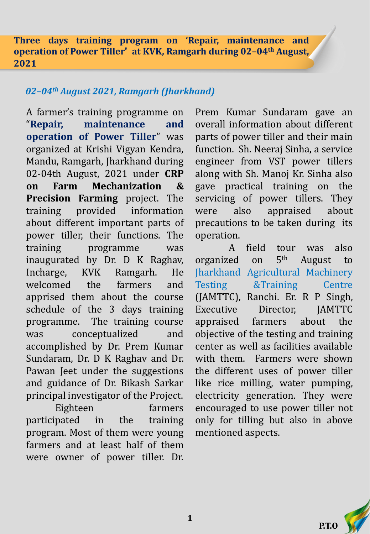**Three days training program on 'Repair, maintenance and operation of Power Tiller' at KVK, Ramgarh during 02–04th August, 2021**

## *02–04th August 2021, Ramgarh (Jharkhand)*

A farmer's training programme on "**Repair, maintenance and operation of Power Tiller**" was organized at Krishi Vigyan Kendra, Mandu, Ramgarh, Jharkhand during 02-04th August, 2021 under **CRP on Farm Mechanization & Precision Farming** project. The training provided information about different important parts of power tiller, their functions. The training programme was inaugurated by Dr. D K Raghav, Incharge, KVK Ramgarh. He welcomed the farmers and apprised them about the course schedule of the 3 days training programme. The training course was conceptualized and accomplished by Dr. Prem Kumar Sundaram, Dr. D K Raghav and Dr. Pawan Jeet under the suggestions and guidance of Dr. Bikash Sarkar principal investigator of the Project.

Eighteen farmers participated in the training program. Most of them were young farmers and at least half of them were owner of power tiller. Dr. Prem Kumar Sundaram gave an overall information about different parts of power tiller and their main function. Sh. Neeraj Sinha, a service engineer from VST power tillers along with Sh. Manoj Kr. Sinha also gave practical training on the servicing of power tillers. They were also appraised about precautions to be taken during its operation.

A field tour was also organized on 5 August to Jharkhand Agricultural Machinery Testing &Training Centre (JAMTTC), Ranchi. Er. R P Singh, Executive Director. IAMTTC appraised farmers about the objective of the testing and training center as well as facilities available with them. Farmers were shown the different uses of power tiller like rice milling, water pumping, electricity generation. They were encouraged to use power tiller not only for tilling but also in above mentioned aspects.